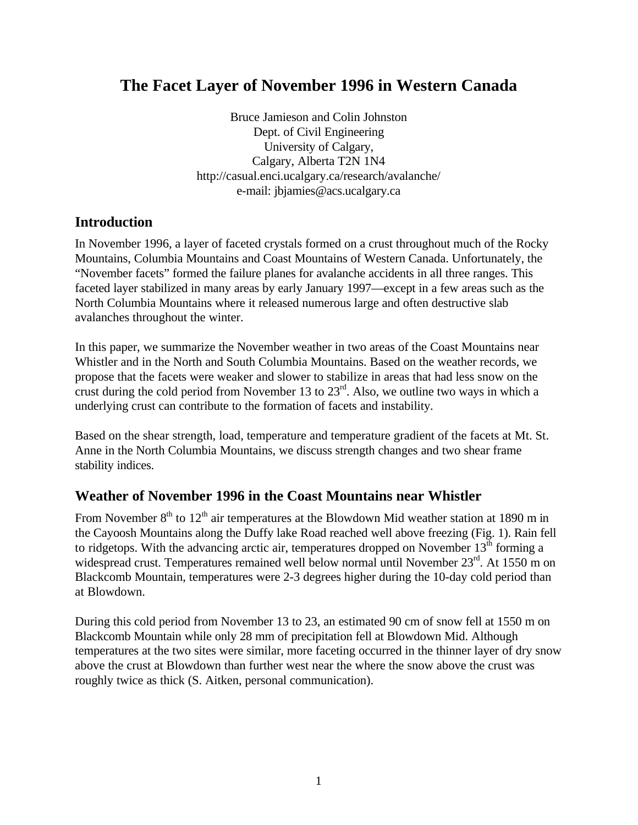# **The Facet Layer of November 1996 in Western Canada**

Bruce Jamieson and Colin Johnston Dept. of Civil Engineering University of Calgary, Calgary, Alberta T2N 1N4 http://casual.enci.ucalgary.ca/research/avalanche/ e-mail: jbjamies@acs.ucalgary.ca

## **Introduction**

In November 1996, a layer of faceted crystals formed on a crust throughout much of the Rocky Mountains, Columbia Mountains and Coast Mountains of Western Canada. Unfortunately, the "November facets" formed the failure planes for avalanche accidents in all three ranges. This faceted layer stabilized in many areas by early January 1997—except in a few areas such as the North Columbia Mountains where it released numerous large and often destructive slab avalanches throughout the winter.

In this paper, we summarize the November weather in two areas of the Coast Mountains near Whistler and in the North and South Columbia Mountains. Based on the weather records, we propose that the facets were weaker and slower to stabilize in areas that had less snow on the crust during the cold period from November 13 to  $23<sup>rd</sup>$ . Also, we outline two ways in which a underlying crust can contribute to the formation of facets and instability.

Based on the shear strength, load, temperature and temperature gradient of the facets at Mt. St. Anne in the North Columbia Mountains, we discuss strength changes and two shear frame stability indices.

## **Weather of November 1996 in the Coast Mountains near Whistler**

From November  $8<sup>th</sup>$  to  $12<sup>th</sup>$  air temperatures at the Blowdown Mid weather station at 1890 m in the Cayoosh Mountains along the Duffy lake Road reached well above freezing (Fig. 1). Rain fell to ridgetops. With the advancing arctic air, temperatures dropped on November  $13<sup>th</sup>$  forming a widespread crust. Temperatures remained well below normal until November 23<sup>rd</sup>. At 1550 m on Blackcomb Mountain, temperatures were 2-3 degrees higher during the 10-day cold period than at Blowdown.

During this cold period from November 13 to 23, an estimated 90 cm of snow fell at 1550 m on Blackcomb Mountain while only 28 mm of precipitation fell at Blowdown Mid. Although temperatures at the two sites were similar, more faceting occurred in the thinner layer of dry snow above the crust at Blowdown than further west near the where the snow above the crust was roughly twice as thick (S. Aitken, personal communication).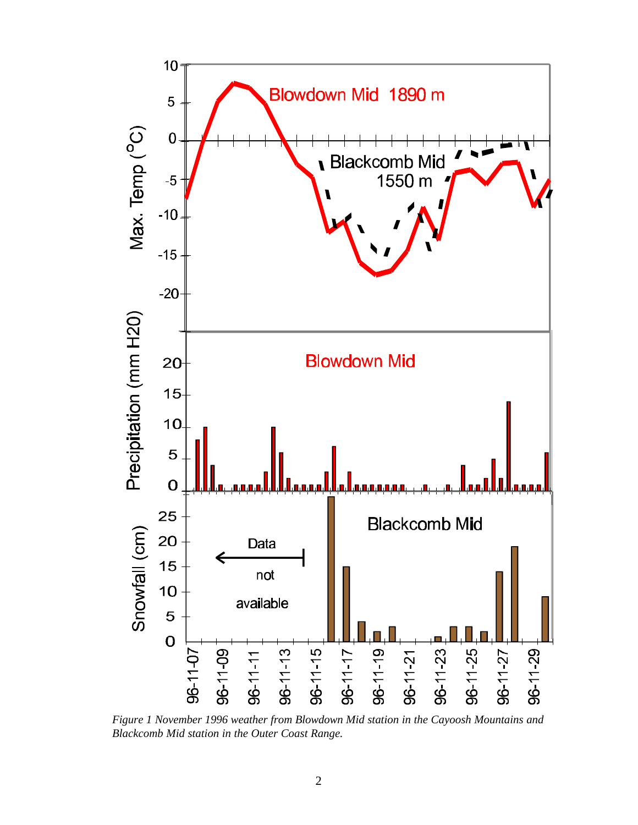

*Figure 1 November 1996 weather from Blowdown Mid station in the Cayoosh Mountains and Blackcomb Mid station in the Outer Coast Range.*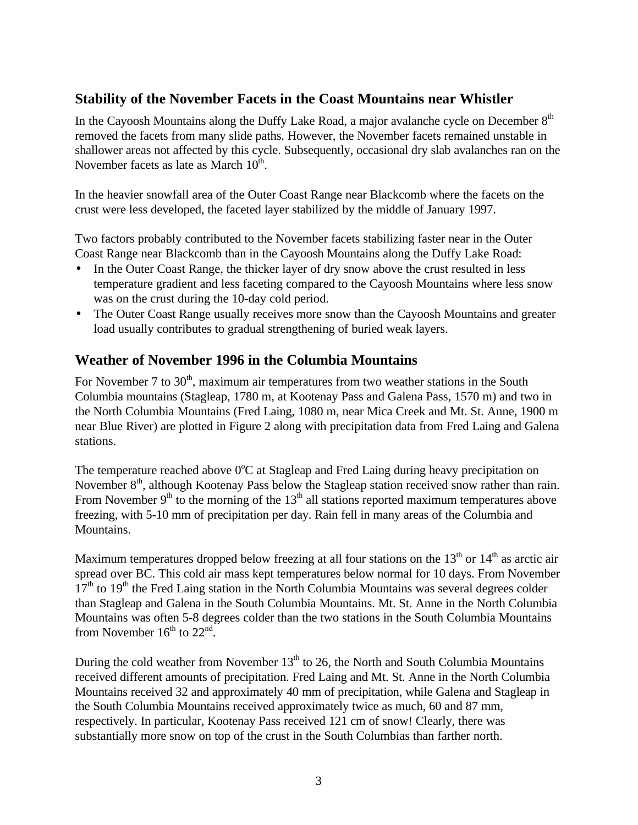## **Stability of the November Facets in the Coast Mountains near Whistler**

In the Cayoosh Mountains along the Duffy Lake Road, a major avalanche cycle on December 8<sup>th</sup> removed the facets from many slide paths. However, the November facets remained unstable in shallower areas not affected by this cycle. Subsequently, occasional dry slab avalanches ran on the November facets as late as March  $10^{th}$ .

In the heavier snowfall area of the Outer Coast Range near Blackcomb where the facets on the crust were less developed, the faceted layer stabilized by the middle of January 1997.

Two factors probably contributed to the November facets stabilizing faster near in the Outer Coast Range near Blackcomb than in the Cayoosh Mountains along the Duffy Lake Road:

- In the Outer Coast Range, the thicker layer of dry snow above the crust resulted in less temperature gradient and less faceting compared to the Cayoosh Mountains where less snow was on the crust during the 10-day cold period.
- The Outer Coast Range usually receives more snow than the Cayoosh Mountains and greater load usually contributes to gradual strengthening of buried weak layers.

## **Weather of November 1996 in the Columbia Mountains**

For November 7 to  $30<sup>th</sup>$ , maximum air temperatures from two weather stations in the South Columbia mountains (Stagleap, 1780 m, at Kootenay Pass and Galena Pass, 1570 m) and two in the North Columbia Mountains (Fred Laing, 1080 m, near Mica Creek and Mt. St. Anne, 1900 m near Blue River) are plotted in Figure 2 along with precipitation data from Fred Laing and Galena stations.

The temperature reached above  $0^{\circ}C$  at Stagleap and Fred Laing during heavy precipitation on November 8<sup>th</sup>, although Kootenay Pass below the Stagleap station received snow rather than rain. From November  $9<sup>th</sup>$  to the morning of the  $13<sup>th</sup>$  all stations reported maximum temperatures above freezing, with 5-10 mm of precipitation per day. Rain fell in many areas of the Columbia and Mountains.

Maximum temperatures dropped below freezing at all four stations on the  $13<sup>th</sup>$  or  $14<sup>th</sup>$  as arctic air spread over BC. This cold air mass kept temperatures below normal for 10 days. From November  $17<sup>th</sup>$  to  $19<sup>th</sup>$  the Fred Laing station in the North Columbia Mountains was several degrees colder than Stagleap and Galena in the South Columbia Mountains. Mt. St. Anne in the North Columbia Mountains was often 5-8 degrees colder than the two stations in the South Columbia Mountains from November  $16^{th}$  to  $22^{nd}$ .

During the cold weather from November  $13<sup>th</sup>$  to 26, the North and South Columbia Mountains received different amounts of precipitation. Fred Laing and Mt. St. Anne in the North Columbia Mountains received 32 and approximately 40 mm of precipitation, while Galena and Stagleap in the South Columbia Mountains received approximately twice as much, 60 and 87 mm, respectively. In particular, Kootenay Pass received 121 cm of snow! Clearly, there was substantially more snow on top of the crust in the South Columbias than farther north.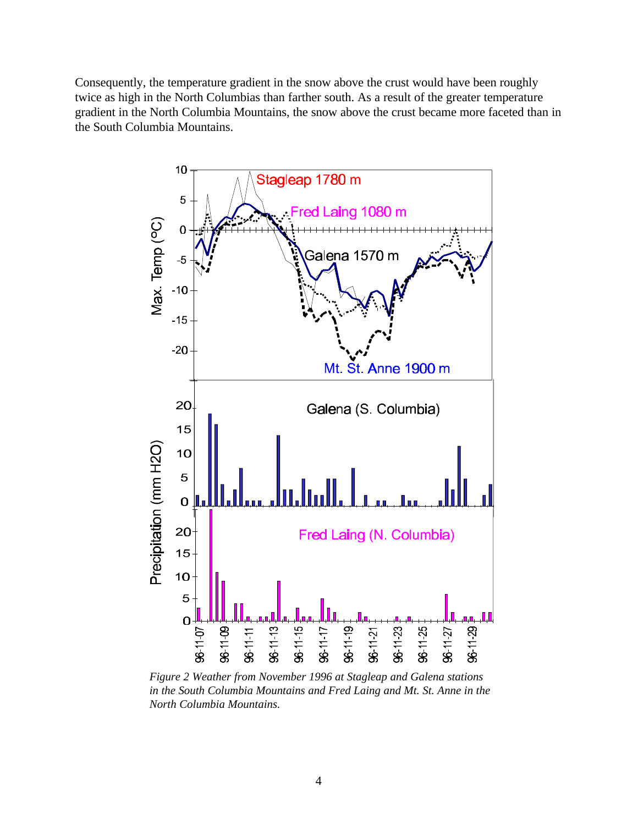Consequently, the temperature gradient in the snow above the crust would have been roughly twice as high in the North Columbias than farther south. As a result of the greater temperature gradient in the North Columbia Mountains, the snow above the crust became more faceted than in the South Columbia Mountains.



*Figure 2 Weather from November 1996 at Stagleap and Galena stations in the South Columbia Mountains and Fred Laing and Mt. St. Anne in the North Columbia Mountains.*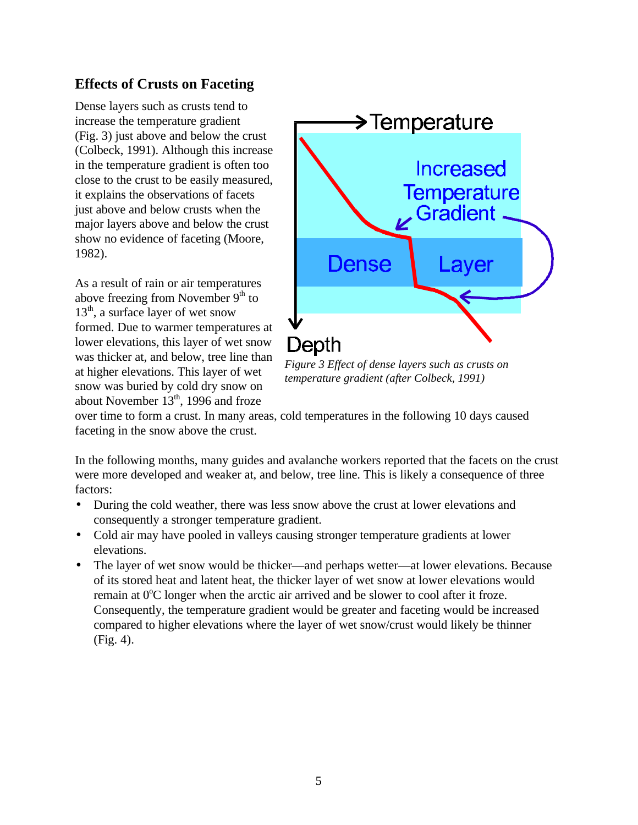## **Effects of Crusts on Faceting**

Dense layers such as crusts tend to increase the temperature gradient (Fig. 3) just above and below the crust (Colbeck, 1991). Although this increase in the temperature gradient is often too close to the crust to be easily measured, it explains the observations of facets just above and below crusts when the major layers above and below the crust show no evidence of faceting (Moore, 1982).

As a result of rain or air temperatures above freezing from November 9<sup>th</sup> to  $13<sup>th</sup>$ , a surface layer of wet snow formed. Due to warmer temperatures at lower elevations, this layer of wet snow was thicker at, and below, tree line than at higher elevations. This layer of wet snow was buried by cold dry snow on about November  $13<sup>th</sup>$ , 1996 and froze



*Figure 3 Effect of dense layers such as crusts on temperature gradient (after Colbeck, 1991)*

over time to form a crust. In many areas, cold temperatures in the following 10 days caused faceting in the snow above the crust.

In the following months, many guides and avalanche workers reported that the facets on the crust were more developed and weaker at, and below, tree line. This is likely a consequence of three factors:

- During the cold weather, there was less snow above the crust at lower elevations and consequently a stronger temperature gradient.
- Cold air may have pooled in valleys causing stronger temperature gradients at lower elevations.
- The layer of wet snow would be thicker—and perhaps wetter—at lower elevations. Because of its stored heat and latent heat, the thicker layer of wet snow at lower elevations would remain at  $0^{\circ}$ C longer when the arctic air arrived and be slower to cool after it froze. Consequently, the temperature gradient would be greater and faceting would be increased compared to higher elevations where the layer of wet snow/crust would likely be thinner (Fig. 4).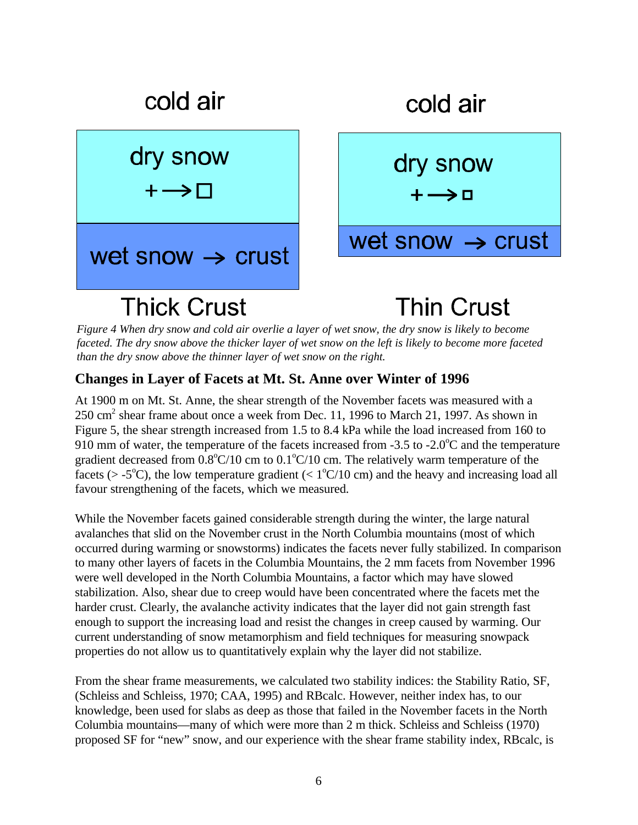

*Figure 4 When dry snow and cold air overlie a layer of wet snow, the dry snow is likely to become faceted. The dry snow above the thicker layer of wet snow on the left is likely to become more faceted than the dry snow above the thinner layer of wet snow on the right.*

#### **Changes in Layer of Facets at Mt. St. Anne over Winter of 1996**

At 1900 m on Mt. St. Anne, the shear strength of the November facets was measured with a  $250 \text{ cm}^2$  shear frame about once a week from Dec. 11, 1996 to March 21, 1997. As shown in Figure 5, the shear strength increased from 1.5 to 8.4 kPa while the load increased from 160 to 910 mm of water, the temperature of the facets increased from  $-3.5$  to  $-2.0^{\circ}$ C and the temperature gradient decreased from  $0.8^{\circ}C/10$  cm to  $0.1^{\circ}C/10$  cm. The relatively warm temperature of the facets ( $>$  -5<sup>o</sup>C), the low temperature gradient ( $<$  1<sup>o</sup>C/10 cm) and the heavy and increasing load all favour strengthening of the facets, which we measured.

While the November facets gained considerable strength during the winter, the large natural avalanches that slid on the November crust in the North Columbia mountains (most of which occurred during warming or snowstorms) indicates the facets never fully stabilized. In comparison to many other layers of facets in the Columbia Mountains, the 2 mm facets from November 1996 were well developed in the North Columbia Mountains, a factor which may have slowed stabilization. Also, shear due to creep would have been concentrated where the facets met the harder crust. Clearly, the avalanche activity indicates that the layer did not gain strength fast enough to support the increasing load and resist the changes in creep caused by warming. Our current understanding of snow metamorphism and field techniques for measuring snowpack properties do not allow us to quantitatively explain why the layer did not stabilize.

From the shear frame measurements, we calculated two stability indices: the Stability Ratio, SF, (Schleiss and Schleiss, 1970; CAA, 1995) and RBcalc. However, neither index has, to our knowledge, been used for slabs as deep as those that failed in the November facets in the North Columbia mountains—many of which were more than 2 m thick. Schleiss and Schleiss (1970) proposed SF for "new" snow, and our experience with the shear frame stability index, RBcalc, is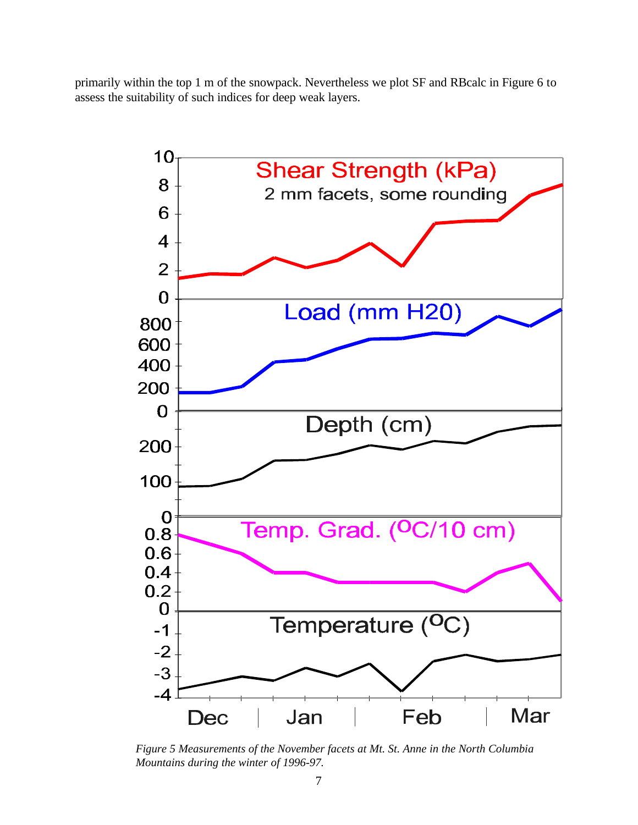primarily within the top 1 m of the snowpack. Nevertheless we plot SF and RBcalc in Figure 6 to assess the suitability of such indices for deep weak layers.



*Figure 5 Measurements of the November facets at Mt. St. Anne in the North Columbia Mountains during the winter of 1996-97.*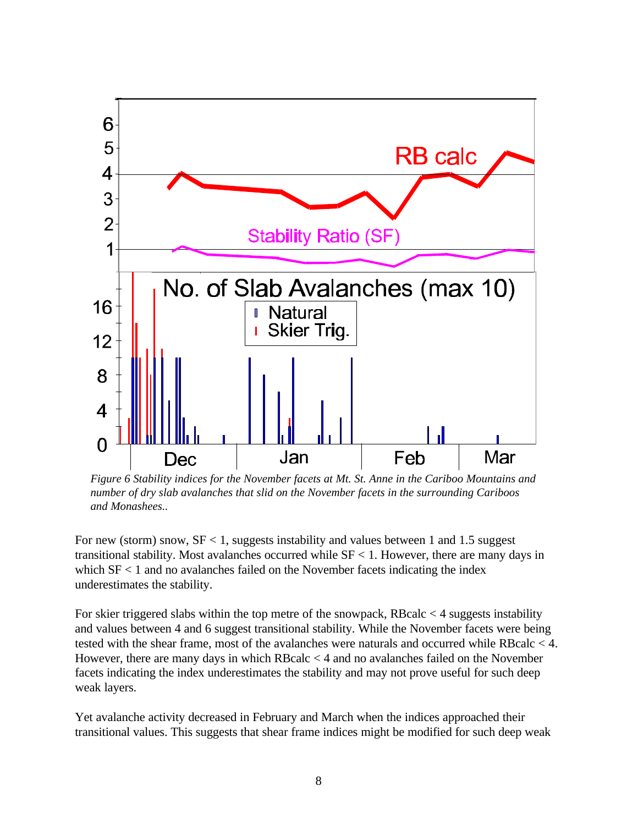

*Figure 6 Stability indices for the November facets at Mt. St. Anne in the Cariboo Mountains and number of dry slab avalanches that slid on the November facets in the surrounding Cariboos and Monashees..*

For new (storm) snow,  $SF < 1$ , suggests instability and values between 1 and 1.5 suggest transitional stability. Most avalanches occurred while  $SF < 1$ . However, there are many days in which  $SF < 1$  and no avalanches failed on the November facets indicating the index underestimates the stability.

For skier triggered slabs within the top metre of the snowpack, RBcalc  $<$  4 suggests instability and values between 4 and 6 suggest transitional stability. While the November facets were being tested with the shear frame, most of the avalanches were naturals and occurred while RBcalc < 4. However, there are many days in which RBcalc < 4 and no avalanches failed on the November facets indicating the index underestimates the stability and may not prove useful for such deep weak layers.

Yet avalanche activity decreased in February and March when the indices approached their transitional values. This suggests that shear frame indices might be modified for such deep weak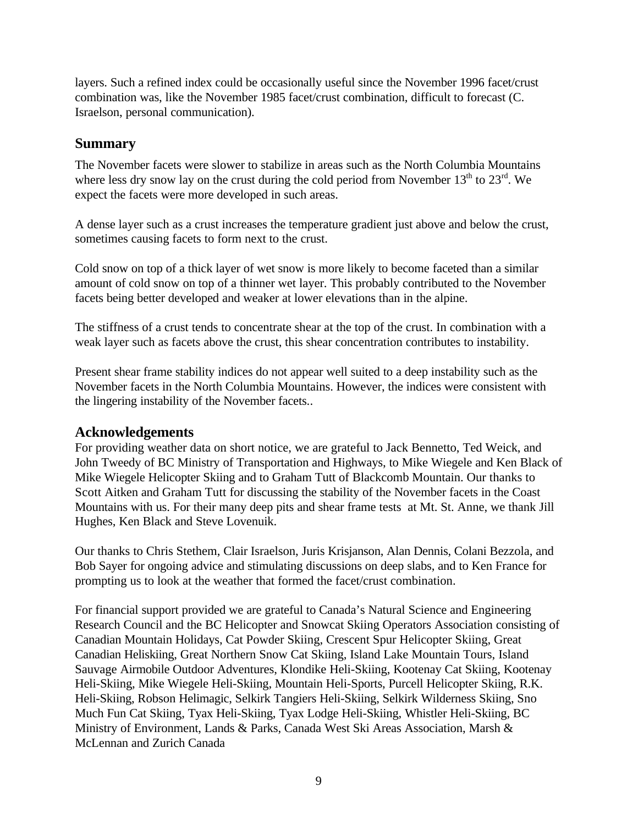layers. Such a refined index could be occasionally useful since the November 1996 facet/crust combination was, like the November 1985 facet/crust combination, difficult to forecast (C. Israelson, personal communication).

### **Summary**

The November facets were slower to stabilize in areas such as the North Columbia Mountains where less dry snow lay on the crust during the cold period from November  $13<sup>th</sup>$  to  $23<sup>rd</sup>$ . We expect the facets were more developed in such areas.

A dense layer such as a crust increases the temperature gradient just above and below the crust, sometimes causing facets to form next to the crust.

Cold snow on top of a thick layer of wet snow is more likely to become faceted than a similar amount of cold snow on top of a thinner wet layer. This probably contributed to the November facets being better developed and weaker at lower elevations than in the alpine.

The stiffness of a crust tends to concentrate shear at the top of the crust. In combination with a weak layer such as facets above the crust, this shear concentration contributes to instability.

Present shear frame stability indices do not appear well suited to a deep instability such as the November facets in the North Columbia Mountains. However, the indices were consistent with the lingering instability of the November facets..

#### **Acknowledgements**

For providing weather data on short notice, we are grateful to Jack Bennetto, Ted Weick, and John Tweedy of BC Ministry of Transportation and Highways, to Mike Wiegele and Ken Black of Mike Wiegele Helicopter Skiing and to Graham Tutt of Blackcomb Mountain. Our thanks to Scott Aitken and Graham Tutt for discussing the stability of the November facets in the Coast Mountains with us. For their many deep pits and shear frame tests at Mt. St. Anne, we thank Jill Hughes, Ken Black and Steve Lovenuik.

Our thanks to Chris Stethem, Clair Israelson, Juris Krisjanson, Alan Dennis, Colani Bezzola, and Bob Sayer for ongoing advice and stimulating discussions on deep slabs, and to Ken France for prompting us to look at the weather that formed the facet/crust combination.

For financial support provided we are grateful to Canada's Natural Science and Engineering Research Council and the BC Helicopter and Snowcat Skiing Operators Association consisting of Canadian Mountain Holidays, Cat Powder Skiing, Crescent Spur Helicopter Skiing, Great Canadian Heliskiing, Great Northern Snow Cat Skiing, Island Lake Mountain Tours, Island Sauvage Airmobile Outdoor Adventures, Klondike Heli-Skiing, Kootenay Cat Skiing, Kootenay Heli-Skiing, Mike Wiegele Heli-Skiing, Mountain Heli-Sports, Purcell Helicopter Skiing, R.K. Heli-Skiing, Robson Helimagic, Selkirk Tangiers Heli-Skiing, Selkirk Wilderness Skiing, Sno Much Fun Cat Skiing, Tyax Heli-Skiing, Tyax Lodge Heli-Skiing, Whistler Heli-Skiing, BC Ministry of Environment, Lands & Parks, Canada West Ski Areas Association, Marsh & McLennan and Zurich Canada